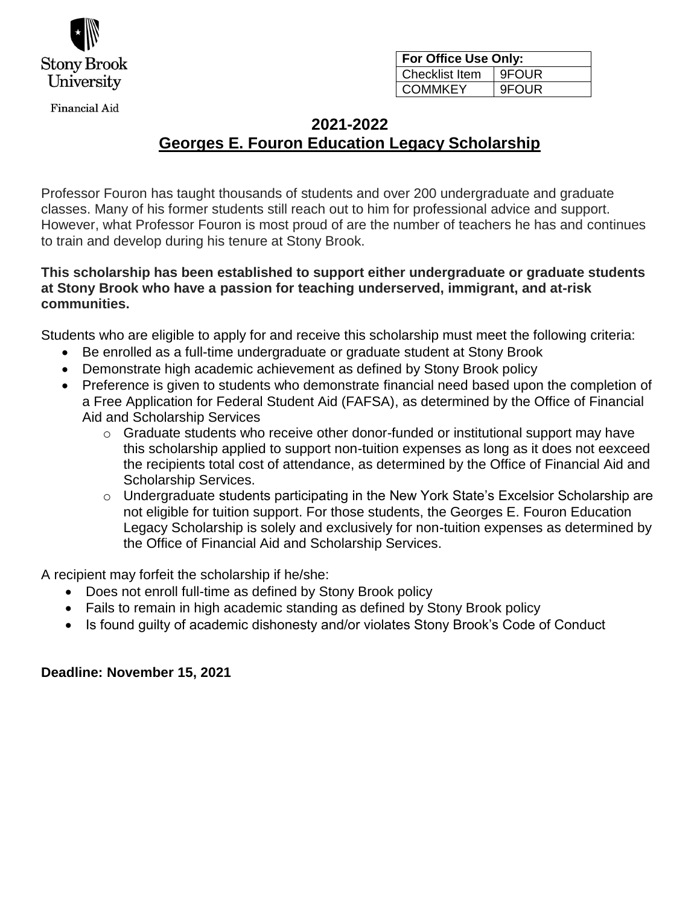

**Financial Aid** 

| For Office Use Only:  |              |  |
|-----------------------|--------------|--|
| <b>Checklist Item</b> | 9FOUR        |  |
| <b>COMMKEY</b>        | <b>9FOUR</b> |  |

# **2021-2022 Georges E. Fouron Education Legacy Scholarship**

Professor Fouron has taught thousands of students and over 200 undergraduate and graduate classes. Many of his former students still reach out to him for professional advice and support. However, what Professor Fouron is most proud of are the number of teachers he has and continues to train and develop during his tenure at Stony Brook.

## **This scholarship has been established to support either undergraduate or graduate students at Stony Brook who have a passion for teaching underserved, immigrant, and at-risk communities.**

Students who are eligible to apply for and receive this scholarship must meet the following criteria:

- Be enrolled as a full-time undergraduate or graduate student at Stony Brook
- Demonstrate high academic achievement as defined by Stony Brook policy
- Preference is given to students who demonstrate financial need based upon the completion of a Free Application for Federal Student Aid (FAFSA), as determined by the Office of Financial Aid and Scholarship Services
	- o Graduate students who receive other donor-funded or institutional support may have this scholarship applied to support non-tuition expenses as long as it does not eexceed the recipients total cost of attendance, as determined by the Office of Financial Aid and Scholarship Services.
	- o Undergraduate students participating in the New York State's Excelsior Scholarship are not eligible for tuition support. For those students, the Georges E. Fouron Education Legacy Scholarship is solely and exclusively for non-tuition expenses as determined by the Office of Financial Aid and Scholarship Services.

A recipient may forfeit the scholarship if he/she:

- Does not enroll full-time as defined by Stony Brook policy
- Fails to remain in high academic standing as defined by Stony Brook policy
- Is found guilty of academic dishonesty and/or violates Stony Brook's Code of Conduct

#### **Deadline: November 15, 2021**